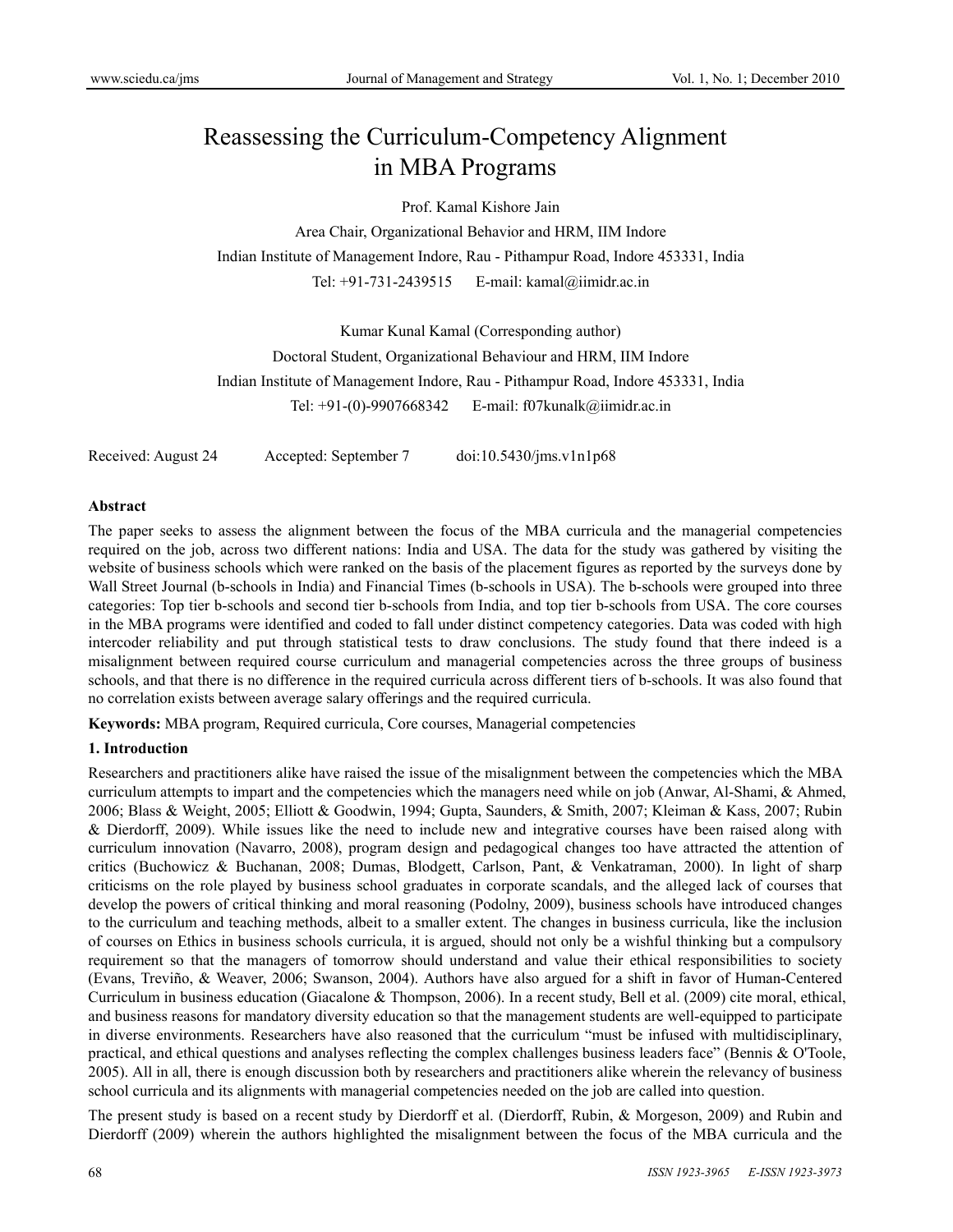# Reassessing the Curriculum-Competency Alignment in MBA Programs

Prof. Kamal Kishore Jain

Area Chair, Organizational Behavior and HRM, IIM Indore Indian Institute of Management Indore, Rau - Pithampur Road, Indore 453331, India Tel: +91-731-2439515 E-mail: kamal@iimidr.ac.in

Kumar Kunal Kamal (Corresponding author)

Doctoral Student, Organizational Behaviour and HRM, IIM Indore

Indian Institute of Management Indore, Rau - Pithampur Road, Indore 453331, India

Tel: +91-(0)-9907668342 E-mail: f07kunalk@iimidr.ac.in

Received: August 24 Accepted: September 7 doi:10.5430/jms.v1n1p68

#### **Abstract**

The paper seeks to assess the alignment between the focus of the MBA curricula and the managerial competencies required on the job, across two different nations: India and USA. The data for the study was gathered by visiting the website of business schools which were ranked on the basis of the placement figures as reported by the surveys done by Wall Street Journal (b-schools in India) and Financial Times (b-schools in USA). The b-schools were grouped into three categories: Top tier b-schools and second tier b-schools from India, and top tier b-schools from USA. The core courses in the MBA programs were identified and coded to fall under distinct competency categories. Data was coded with high intercoder reliability and put through statistical tests to draw conclusions. The study found that there indeed is a misalignment between required course curriculum and managerial competencies across the three groups of business schools, and that there is no difference in the required curricula across different tiers of b-schools. It was also found that no correlation exists between average salary offerings and the required curricula.

**Keywords:** MBA program, Required curricula, Core courses, Managerial competencies

## **1. Introduction**

Researchers and practitioners alike have raised the issue of the misalignment between the competencies which the MBA curriculum attempts to impart and the competencies which the managers need while on job (Anwar, Al-Shami, & Ahmed, 2006; Blass & Weight, 2005; Elliott & Goodwin, 1994; Gupta, Saunders, & Smith, 2007; Kleiman & Kass, 2007; Rubin & Dierdorff, 2009). While issues like the need to include new and integrative courses have been raised along with curriculum innovation (Navarro, 2008), program design and pedagogical changes too have attracted the attention of critics (Buchowicz & Buchanan, 2008; Dumas, Blodgett, Carlson, Pant, & Venkatraman, 2000). In light of sharp criticisms on the role played by business school graduates in corporate scandals, and the alleged lack of courses that develop the powers of critical thinking and moral reasoning (Podolny, 2009), business schools have introduced changes to the curriculum and teaching methods, albeit to a smaller extent. The changes in business curricula, like the inclusion of courses on Ethics in business schools curricula, it is argued, should not only be a wishful thinking but a compulsory requirement so that the managers of tomorrow should understand and value their ethical responsibilities to society (Evans, Treviño, & Weaver, 2006; Swanson, 2004). Authors have also argued for a shift in favor of Human-Centered Curriculum in business education (Giacalone & Thompson, 2006). In a recent study, Bell et al. (2009) cite moral, ethical, and business reasons for mandatory diversity education so that the management students are well-equipped to participate in diverse environments. Researchers have also reasoned that the curriculum "must be infused with multidisciplinary, practical, and ethical questions and analyses reflecting the complex challenges business leaders face" (Bennis & O'Toole, 2005). All in all, there is enough discussion both by researchers and practitioners alike wherein the relevancy of business school curricula and its alignments with managerial competencies needed on the job are called into question.

The present study is based on a recent study by Dierdorff et al. (Dierdorff, Rubin, & Morgeson, 2009) and Rubin and Dierdorff (2009) wherein the authors highlighted the misalignment between the focus of the MBA curricula and the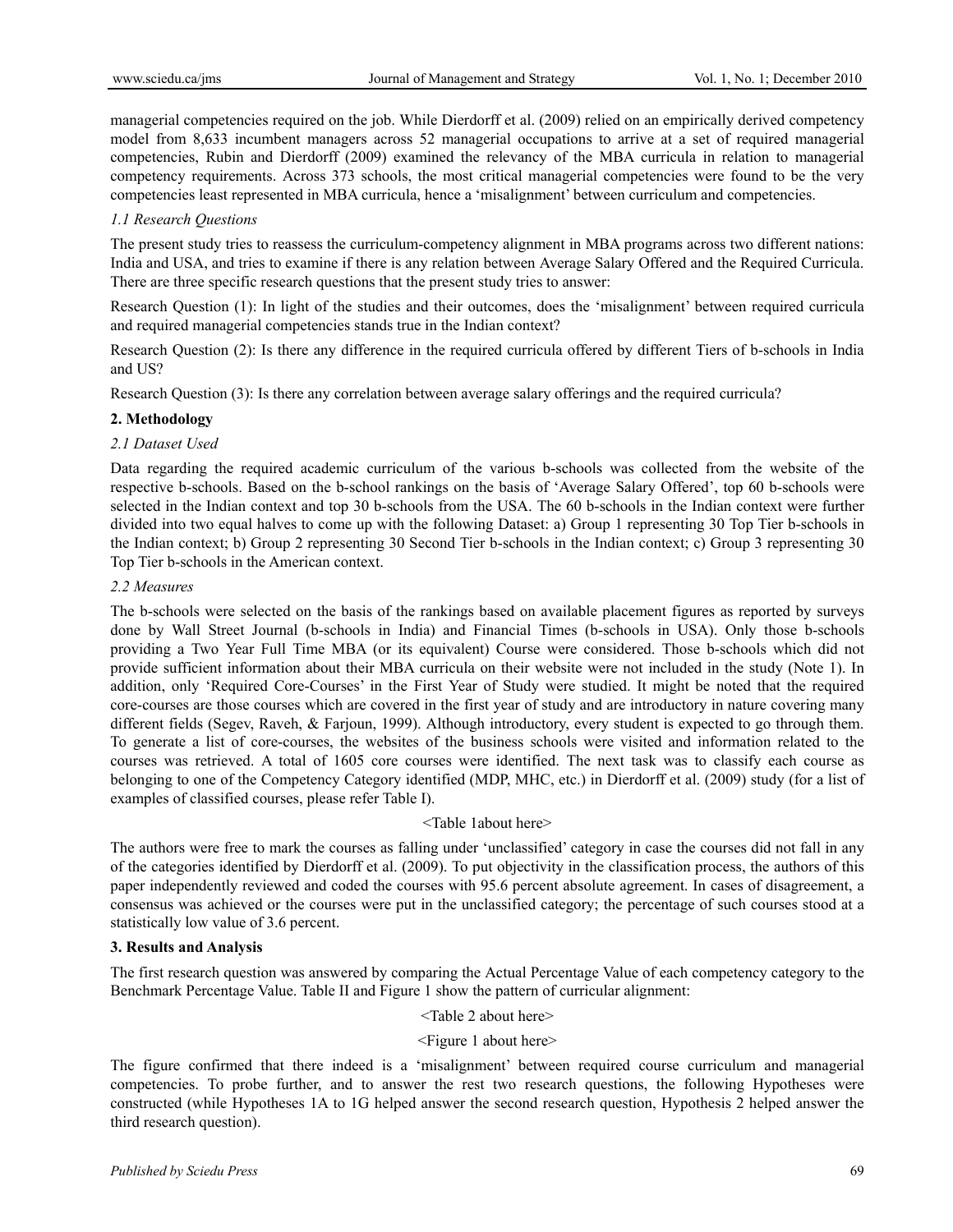managerial competencies required on the job. While Dierdorff et al. (2009) relied on an empirically derived competency model from 8,633 incumbent managers across 52 managerial occupations to arrive at a set of required managerial competencies, Rubin and Dierdorff (2009) examined the relevancy of the MBA curricula in relation to managerial competency requirements. Across 373 schools, the most critical managerial competencies were found to be the very competencies least represented in MBA curricula, hence a 'misalignment' between curriculum and competencies.

## *1.1 Research Questions*

The present study tries to reassess the curriculum-competency alignment in MBA programs across two different nations: India and USA, and tries to examine if there is any relation between Average Salary Offered and the Required Curricula. There are three specific research questions that the present study tries to answer:

Research Question (1): In light of the studies and their outcomes, does the 'misalignment' between required curricula and required managerial competencies stands true in the Indian context?

Research Question (2): Is there any difference in the required curricula offered by different Tiers of b-schools in India and US?

Research Question (3): Is there any correlation between average salary offerings and the required curricula?

#### **2. Methodology**

#### *2.1 Dataset Used*

Data regarding the required academic curriculum of the various b-schools was collected from the website of the respective b-schools. Based on the b-school rankings on the basis of 'Average Salary Offered', top 60 b-schools were selected in the Indian context and top 30 b-schools from the USA. The 60 b-schools in the Indian context were further divided into two equal halves to come up with the following Dataset: a) Group 1 representing 30 Top Tier b-schools in the Indian context; b) Group 2 representing 30 Second Tier b-schools in the Indian context; c) Group 3 representing 30 Top Tier b-schools in the American context.

#### *2.2 Measures*

The b-schools were selected on the basis of the rankings based on available placement figures as reported by surveys done by Wall Street Journal (b-schools in India) and Financial Times (b-schools in USA). Only those b-schools providing a Two Year Full Time MBA (or its equivalent) Course were considered. Those b-schools which did not provide sufficient information about their MBA curricula on their website were not included in the study (Note 1). In addition, only 'Required Core-Courses' in the First Year of Study were studied. It might be noted that the required core-courses are those courses which are covered in the first year of study and are introductory in nature covering many different fields (Segev, Raveh, & Farjoun, 1999). Although introductory, every student is expected to go through them. To generate a list of core-courses, the websites of the business schools were visited and information related to the courses was retrieved. A total of 1605 core courses were identified. The next task was to classify each course as belonging to one of the Competency Category identified (MDP, MHC, etc.) in Dierdorff et al. (2009) study (for a list of examples of classified courses, please refer Table I).

### <Table 1about here>

The authors were free to mark the courses as falling under 'unclassified' category in case the courses did not fall in any of the categories identified by Dierdorff et al. (2009). To put objectivity in the classification process, the authors of this paper independently reviewed and coded the courses with 95.6 percent absolute agreement. In cases of disagreement, a consensus was achieved or the courses were put in the unclassified category; the percentage of such courses stood at a statistically low value of 3.6 percent.

#### **3. Results and Analysis**

The first research question was answered by comparing the Actual Percentage Value of each competency category to the Benchmark Percentage Value. Table II and Figure 1 show the pattern of curricular alignment:

## <Table 2 about here>

#### <Figure 1 about here>

The figure confirmed that there indeed is a 'misalignment' between required course curriculum and managerial competencies. To probe further, and to answer the rest two research questions, the following Hypotheses were constructed (while Hypotheses 1A to 1G helped answer the second research question, Hypothesis 2 helped answer the third research question).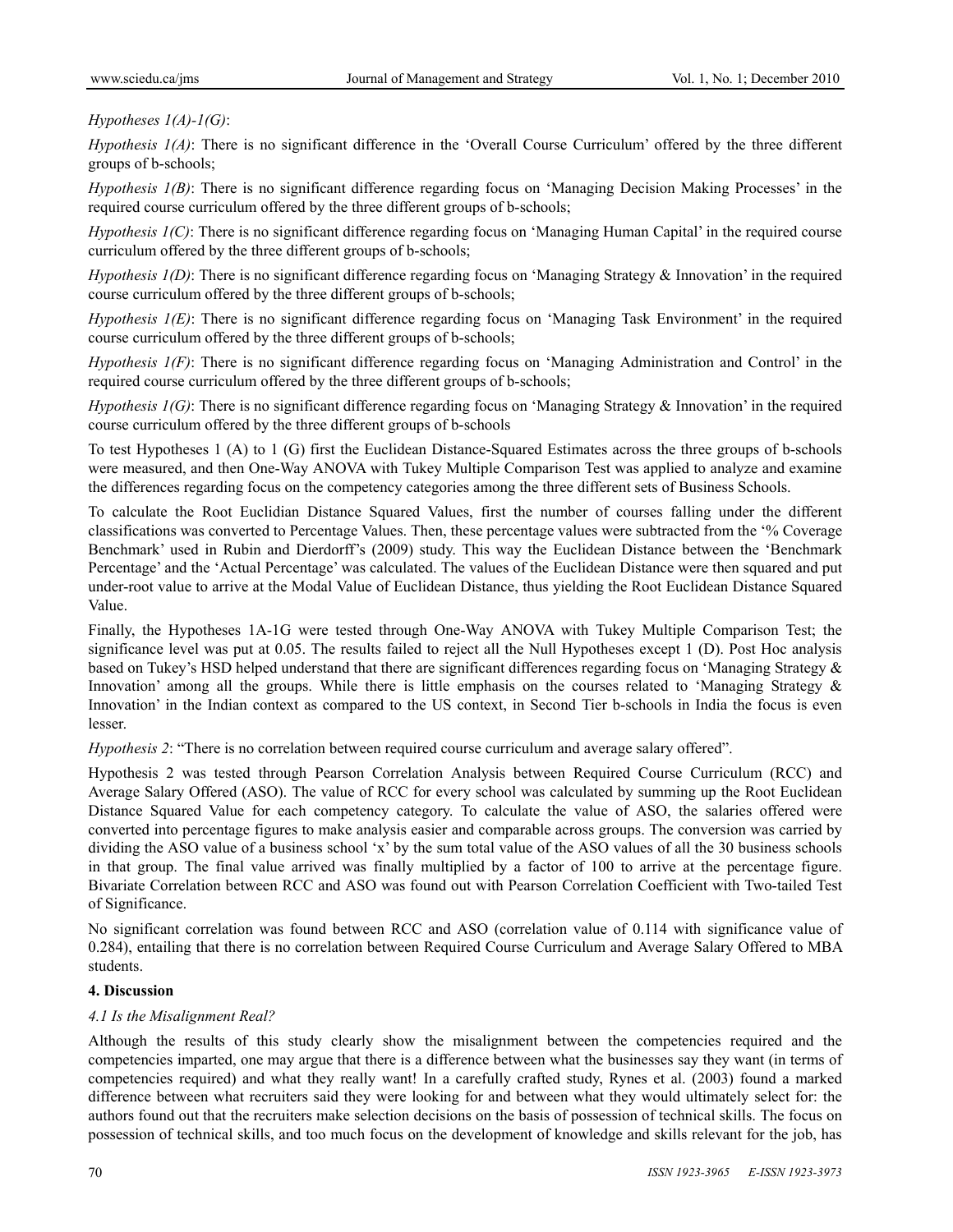*Hypotheses 1(A)-1(G)*:

*Hypothesis 1(A)*: There is no significant difference in the 'Overall Course Curriculum' offered by the three different groups of b-schools;

*Hypothesis 1(B)*: There is no significant difference regarding focus on 'Managing Decision Making Processes' in the required course curriculum offered by the three different groups of b-schools;

*Hypothesis 1(C)*: There is no significant difference regarding focus on 'Managing Human Capital' in the required course curriculum offered by the three different groups of b-schools;

*Hypothesis 1(D)*: There is no significant difference regarding focus on 'Managing Strategy & Innovation' in the required course curriculum offered by the three different groups of b-schools;

*Hypothesis 1(E)*: There is no significant difference regarding focus on 'Managing Task Environment' in the required course curriculum offered by the three different groups of b-schools;

*Hypothesis 1(F)*: There is no significant difference regarding focus on 'Managing Administration and Control' in the required course curriculum offered by the three different groups of b-schools;

*Hypothesis 1(G)*: There is no significant difference regarding focus on 'Managing Strategy & Innovation' in the required course curriculum offered by the three different groups of b-schools

To test Hypotheses 1 (A) to 1 (G) first the Euclidean Distance-Squared Estimates across the three groups of b-schools were measured, and then One-Way ANOVA with Tukey Multiple Comparison Test was applied to analyze and examine the differences regarding focus on the competency categories among the three different sets of Business Schools.

To calculate the Root Euclidian Distance Squared Values, first the number of courses falling under the different classifications was converted to Percentage Values. Then, these percentage values were subtracted from the '% Coverage Benchmark' used in Rubin and Dierdorff's (2009) study. This way the Euclidean Distance between the 'Benchmark Percentage' and the 'Actual Percentage' was calculated. The values of the Euclidean Distance were then squared and put under-root value to arrive at the Modal Value of Euclidean Distance, thus yielding the Root Euclidean Distance Squared Value.

Finally, the Hypotheses 1A-1G were tested through One-Way ANOVA with Tukey Multiple Comparison Test; the significance level was put at 0.05. The results failed to reject all the Null Hypotheses except 1 (D). Post Hoc analysis based on Tukey's HSD helped understand that there are significant differences regarding focus on 'Managing Strategy & Innovation' among all the groups. While there is little emphasis on the courses related to 'Managing Strategy & Innovation' in the Indian context as compared to the US context, in Second Tier b-schools in India the focus is even lesser.

*Hypothesis 2*: "There is no correlation between required course curriculum and average salary offered".

Hypothesis 2 was tested through Pearson Correlation Analysis between Required Course Curriculum (RCC) and Average Salary Offered (ASO). The value of RCC for every school was calculated by summing up the Root Euclidean Distance Squared Value for each competency category. To calculate the value of ASO, the salaries offered were converted into percentage figures to make analysis easier and comparable across groups. The conversion was carried by dividing the ASO value of a business school 'x' by the sum total value of the ASO values of all the 30 business schools in that group. The final value arrived was finally multiplied by a factor of 100 to arrive at the percentage figure. Bivariate Correlation between RCC and ASO was found out with Pearson Correlation Coefficient with Two-tailed Test of Significance.

No significant correlation was found between RCC and ASO (correlation value of 0.114 with significance value of 0.284), entailing that there is no correlation between Required Course Curriculum and Average Salary Offered to MBA students.

## **4. Discussion**

## *4.1 Is the Misalignment Real?*

Although the results of this study clearly show the misalignment between the competencies required and the competencies imparted, one may argue that there is a difference between what the businesses say they want (in terms of competencies required) and what they really want! In a carefully crafted study, Rynes et al. (2003) found a marked difference between what recruiters said they were looking for and between what they would ultimately select for: the authors found out that the recruiters make selection decisions on the basis of possession of technical skills. The focus on possession of technical skills, and too much focus on the development of knowledge and skills relevant for the job, has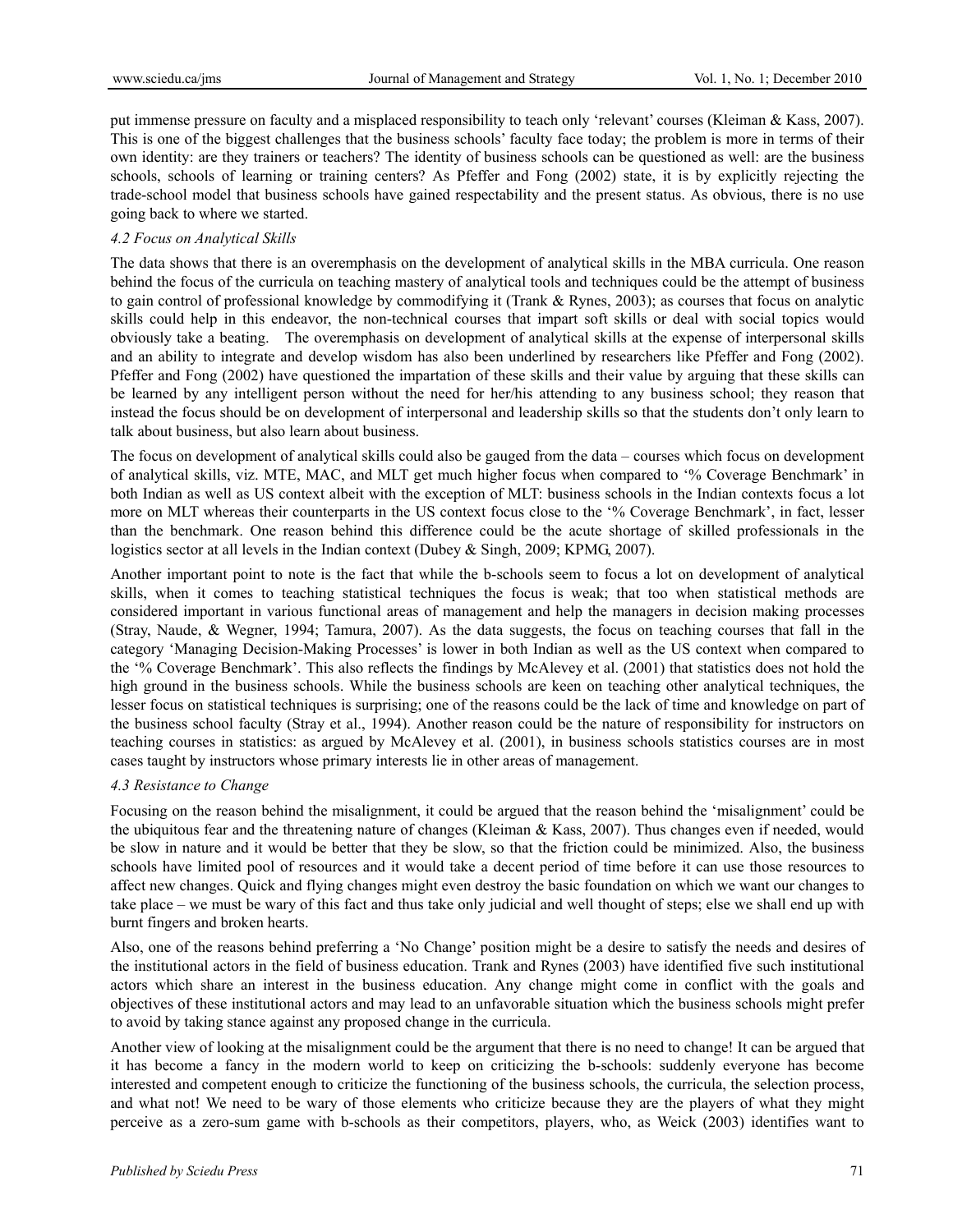put immense pressure on faculty and a misplaced responsibility to teach only 'relevant' courses (Kleiman & Kass, 2007). This is one of the biggest challenges that the business schools' faculty face today; the problem is more in terms of their own identity: are they trainers or teachers? The identity of business schools can be questioned as well: are the business schools, schools of learning or training centers? As Pfeffer and Fong (2002) state, it is by explicitly rejecting the trade-school model that business schools have gained respectability and the present status. As obvious, there is no use going back to where we started.

### *4.2 Focus on Analytical Skills*

The data shows that there is an overemphasis on the development of analytical skills in the MBA curricula. One reason behind the focus of the curricula on teaching mastery of analytical tools and techniques could be the attempt of business to gain control of professional knowledge by commodifying it (Trank & Rynes, 2003); as courses that focus on analytic skills could help in this endeavor, the non-technical courses that impart soft skills or deal with social topics would obviously take a beating. The overemphasis on development of analytical skills at the expense of interpersonal skills and an ability to integrate and develop wisdom has also been underlined by researchers like Pfeffer and Fong (2002). Pfeffer and Fong (2002) have questioned the impartation of these skills and their value by arguing that these skills can be learned by any intelligent person without the need for her/his attending to any business school; they reason that instead the focus should be on development of interpersonal and leadership skills so that the students don't only learn to talk about business, but also learn about business.

The focus on development of analytical skills could also be gauged from the data – courses which focus on development of analytical skills, viz. MTE, MAC, and MLT get much higher focus when compared to '% Coverage Benchmark' in both Indian as well as US context albeit with the exception of MLT: business schools in the Indian contexts focus a lot more on MLT whereas their counterparts in the US context focus close to the '% Coverage Benchmark', in fact, lesser than the benchmark. One reason behind this difference could be the acute shortage of skilled professionals in the logistics sector at all levels in the Indian context (Dubey & Singh, 2009; KPMG, 2007).

Another important point to note is the fact that while the b-schools seem to focus a lot on development of analytical skills, when it comes to teaching statistical techniques the focus is weak; that too when statistical methods are considered important in various functional areas of management and help the managers in decision making processes (Stray, Naude, & Wegner, 1994; Tamura, 2007). As the data suggests, the focus on teaching courses that fall in the category 'Managing Decision-Making Processes' is lower in both Indian as well as the US context when compared to the '% Coverage Benchmark'. This also reflects the findings by McAlevey et al. (2001) that statistics does not hold the high ground in the business schools. While the business schools are keen on teaching other analytical techniques, the lesser focus on statistical techniques is surprising; one of the reasons could be the lack of time and knowledge on part of the business school faculty (Stray et al., 1994). Another reason could be the nature of responsibility for instructors on teaching courses in statistics: as argued by McAlevey et al. (2001), in business schools statistics courses are in most cases taught by instructors whose primary interests lie in other areas of management.

#### *4.3 Resistance to Change*

Focusing on the reason behind the misalignment, it could be argued that the reason behind the 'misalignment' could be the ubiquitous fear and the threatening nature of changes (Kleiman & Kass, 2007). Thus changes even if needed, would be slow in nature and it would be better that they be slow, so that the friction could be minimized. Also, the business schools have limited pool of resources and it would take a decent period of time before it can use those resources to affect new changes. Quick and flying changes might even destroy the basic foundation on which we want our changes to take place – we must be wary of this fact and thus take only judicial and well thought of steps; else we shall end up with burnt fingers and broken hearts.

Also, one of the reasons behind preferring a 'No Change' position might be a desire to satisfy the needs and desires of the institutional actors in the field of business education. Trank and Rynes (2003) have identified five such institutional actors which share an interest in the business education. Any change might come in conflict with the goals and objectives of these institutional actors and may lead to an unfavorable situation which the business schools might prefer to avoid by taking stance against any proposed change in the curricula.

Another view of looking at the misalignment could be the argument that there is no need to change! It can be argued that it has become a fancy in the modern world to keep on criticizing the b-schools: suddenly everyone has become interested and competent enough to criticize the functioning of the business schools, the curricula, the selection process, and what not! We need to be wary of those elements who criticize because they are the players of what they might perceive as a zero-sum game with b-schools as their competitors, players, who, as Weick (2003) identifies want to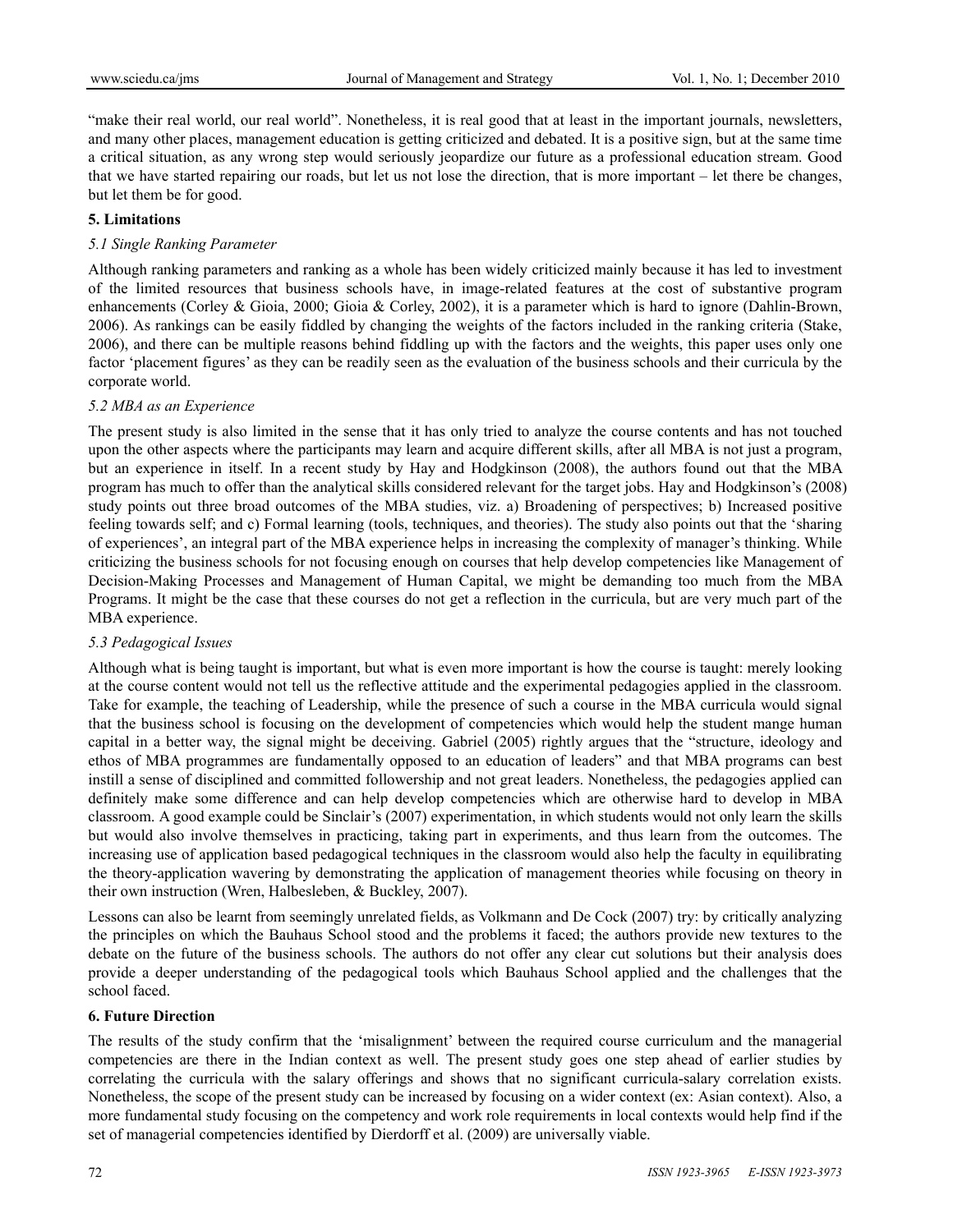"make their real world, our real world". Nonetheless, it is real good that at least in the important journals, newsletters, and many other places, management education is getting criticized and debated. It is a positive sign, but at the same time a critical situation, as any wrong step would seriously jeopardize our future as a professional education stream. Good that we have started repairing our roads, but let us not lose the direction, that is more important – let there be changes, but let them be for good.

### **5. Limitations**

### *5.1 Single Ranking Parameter*

Although ranking parameters and ranking as a whole has been widely criticized mainly because it has led to investment of the limited resources that business schools have, in image-related features at the cost of substantive program enhancements (Corley & Gioia, 2000; Gioia & Corley, 2002), it is a parameter which is hard to ignore (Dahlin-Brown, 2006). As rankings can be easily fiddled by changing the weights of the factors included in the ranking criteria (Stake, 2006), and there can be multiple reasons behind fiddling up with the factors and the weights, this paper uses only one factor 'placement figures' as they can be readily seen as the evaluation of the business schools and their curricula by the corporate world.

#### *5.2 MBA as an Experience*

The present study is also limited in the sense that it has only tried to analyze the course contents and has not touched upon the other aspects where the participants may learn and acquire different skills, after all MBA is not just a program, but an experience in itself. In a recent study by Hay and Hodgkinson (2008), the authors found out that the MBA program has much to offer than the analytical skills considered relevant for the target jobs. Hay and Hodgkinson's (2008) study points out three broad outcomes of the MBA studies, viz. a) Broadening of perspectives; b) Increased positive feeling towards self; and c) Formal learning (tools, techniques, and theories). The study also points out that the 'sharing of experiences', an integral part of the MBA experience helps in increasing the complexity of manager's thinking. While criticizing the business schools for not focusing enough on courses that help develop competencies like Management of Decision-Making Processes and Management of Human Capital, we might be demanding too much from the MBA Programs. It might be the case that these courses do not get a reflection in the curricula, but are very much part of the MBA experience.

#### *5.3 Pedagogical Issues*

Although what is being taught is important, but what is even more important is how the course is taught: merely looking at the course content would not tell us the reflective attitude and the experimental pedagogies applied in the classroom. Take for example, the teaching of Leadership, while the presence of such a course in the MBA curricula would signal that the business school is focusing on the development of competencies which would help the student mange human capital in a better way, the signal might be deceiving. Gabriel (2005) rightly argues that the "structure, ideology and ethos of MBA programmes are fundamentally opposed to an education of leaders" and that MBA programs can best instill a sense of disciplined and committed followership and not great leaders. Nonetheless, the pedagogies applied can definitely make some difference and can help develop competencies which are otherwise hard to develop in MBA classroom. A good example could be Sinclair's (2007) experimentation, in which students would not only learn the skills but would also involve themselves in practicing, taking part in experiments, and thus learn from the outcomes. The increasing use of application based pedagogical techniques in the classroom would also help the faculty in equilibrating the theory-application wavering by demonstrating the application of management theories while focusing on theory in their own instruction (Wren, Halbesleben, & Buckley, 2007).

Lessons can also be learnt from seemingly unrelated fields, as Volkmann and De Cock (2007) try: by critically analyzing the principles on which the Bauhaus School stood and the problems it faced; the authors provide new textures to the debate on the future of the business schools. The authors do not offer any clear cut solutions but their analysis does provide a deeper understanding of the pedagogical tools which Bauhaus School applied and the challenges that the school faced.

#### **6. Future Direction**

The results of the study confirm that the 'misalignment' between the required course curriculum and the managerial competencies are there in the Indian context as well. The present study goes one step ahead of earlier studies by correlating the curricula with the salary offerings and shows that no significant curricula-salary correlation exists. Nonetheless, the scope of the present study can be increased by focusing on a wider context (ex: Asian context). Also, a more fundamental study focusing on the competency and work role requirements in local contexts would help find if the set of managerial competencies identified by Dierdorff et al. (2009) are universally viable.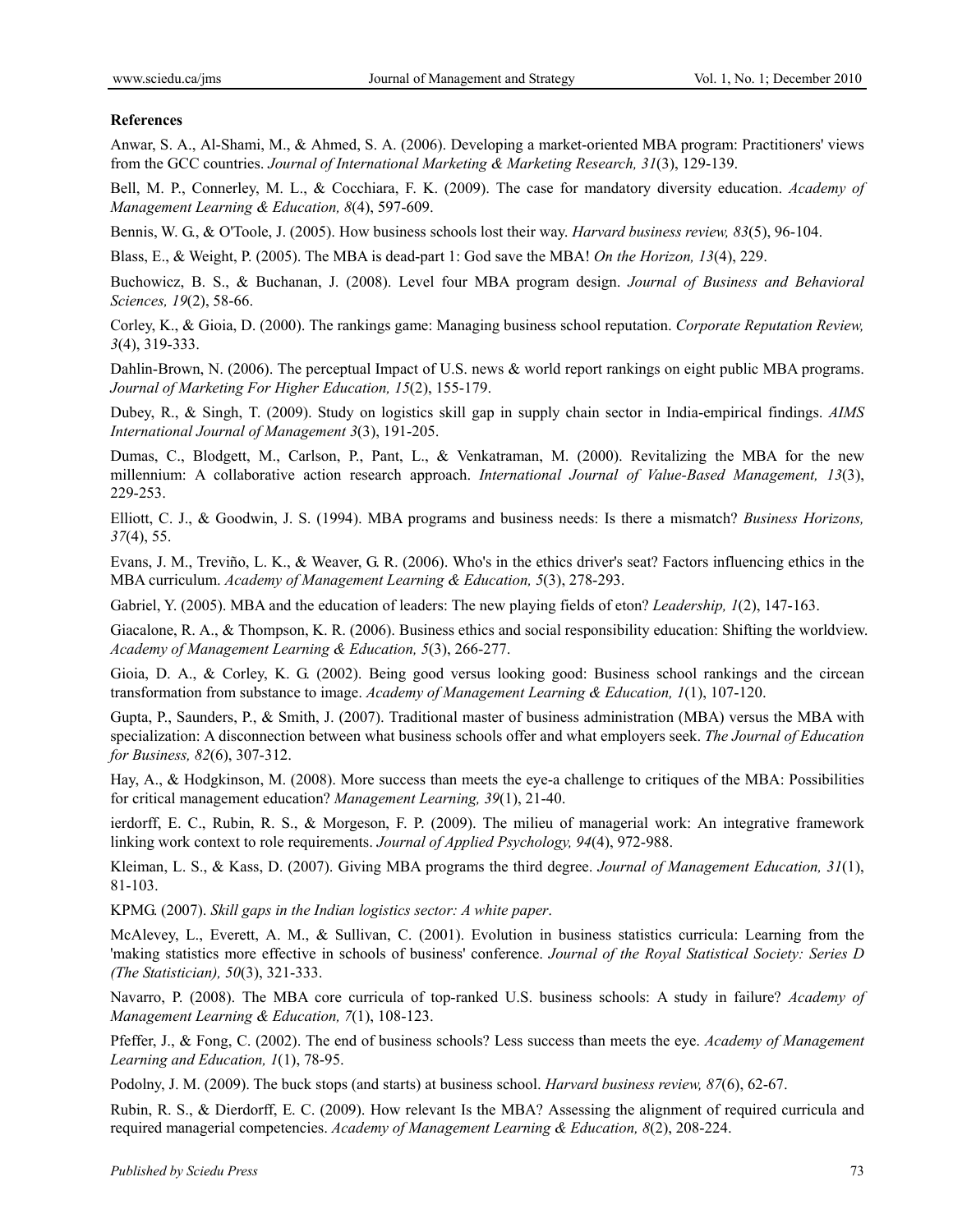#### **References**

Anwar, S. A., Al-Shami, M., & Ahmed, S. A. (2006). Developing a market-oriented MBA program: Practitioners' views from the GCC countries. *Journal of International Marketing & Marketing Research, 31*(3), 129-139.

Bell, M. P., Connerley, M. L., & Cocchiara, F. K. (2009). The case for mandatory diversity education. *Academy of Management Learning & Education, 8*(4), 597-609.

Bennis, W. G., & O'Toole, J. (2005). How business schools lost their way. *Harvard business review, 83*(5), 96-104.

Blass, E., & Weight, P. (2005). The MBA is dead-part 1: God save the MBA! *On the Horizon, 13*(4), 229.

Buchowicz, B. S., & Buchanan, J. (2008). Level four MBA program design. *Journal of Business and Behavioral Sciences, 19*(2), 58-66.

Corley, K., & Gioia, D. (2000). The rankings game: Managing business school reputation. *Corporate Reputation Review, 3*(4), 319-333.

Dahlin-Brown, N. (2006). The perceptual Impact of U.S. news & world report rankings on eight public MBA programs. *Journal of Marketing For Higher Education, 15*(2), 155-179.

Dubey, R., & Singh, T. (2009). Study on logistics skill gap in supply chain sector in India-empirical findings. *AIMS International Journal of Management 3*(3), 191-205.

Dumas, C., Blodgett, M., Carlson, P., Pant, L., & Venkatraman, M. (2000). Revitalizing the MBA for the new millennium: A collaborative action research approach. *International Journal of Value-Based Management, 13*(3), 229-253.

Elliott, C. J., & Goodwin, J. S. (1994). MBA programs and business needs: Is there a mismatch? *Business Horizons, 37*(4), 55.

Evans, J. M., Treviño, L. K., & Weaver, G. R. (2006). Who's in the ethics driver's seat? Factors influencing ethics in the MBA curriculum. *Academy of Management Learning & Education, 5*(3), 278-293.

Gabriel, Y. (2005). MBA and the education of leaders: The new playing fields of eton? *Leadership, 1*(2), 147-163.

Giacalone, R. A., & Thompson, K. R. (2006). Business ethics and social responsibility education: Shifting the worldview. *Academy of Management Learning & Education, 5*(3), 266-277.

Gioia, D. A., & Corley, K. G. (2002). Being good versus looking good: Business school rankings and the circean transformation from substance to image. *Academy of Management Learning & Education, 1*(1), 107-120.

Gupta, P., Saunders, P., & Smith, J. (2007). Traditional master of business administration (MBA) versus the MBA with specialization: A disconnection between what business schools offer and what employers seek. *The Journal of Education for Business, 82*(6), 307-312.

Hay, A., & Hodgkinson, M. (2008). More success than meets the eye-a challenge to critiques of the MBA: Possibilities for critical management education? *Management Learning, 39*(1), 21-40.

ierdorff, E. C., Rubin, R. S., & Morgeson, F. P. (2009). The milieu of managerial work: An integrative framework linking work context to role requirements. *Journal of Applied Psychology, 94*(4), 972-988.

Kleiman, L. S., & Kass, D. (2007). Giving MBA programs the third degree. *Journal of Management Education, 31*(1), 81-103.

KPMG. (2007). *Skill gaps in the Indian logistics sector: A white paper*.

McAlevey, L., Everett, A. M., & Sullivan, C. (2001). Evolution in business statistics curricula: Learning from the 'making statistics more effective in schools of business' conference. *Journal of the Royal Statistical Society: Series D (The Statistician), 50*(3), 321-333.

Navarro, P. (2008). The MBA core curricula of top-ranked U.S. business schools: A study in failure? *Academy of Management Learning & Education, 7*(1), 108-123.

Pfeffer, J., & Fong, C. (2002). The end of business schools? Less success than meets the eye. *Academy of Management Learning and Education, 1*(1), 78-95.

Podolny, J. M. (2009). The buck stops (and starts) at business school. *Harvard business review, 87*(6), 62-67.

Rubin, R. S., & Dierdorff, E. C. (2009). How relevant Is the MBA? Assessing the alignment of required curricula and required managerial competencies. *Academy of Management Learning & Education, 8*(2), 208-224.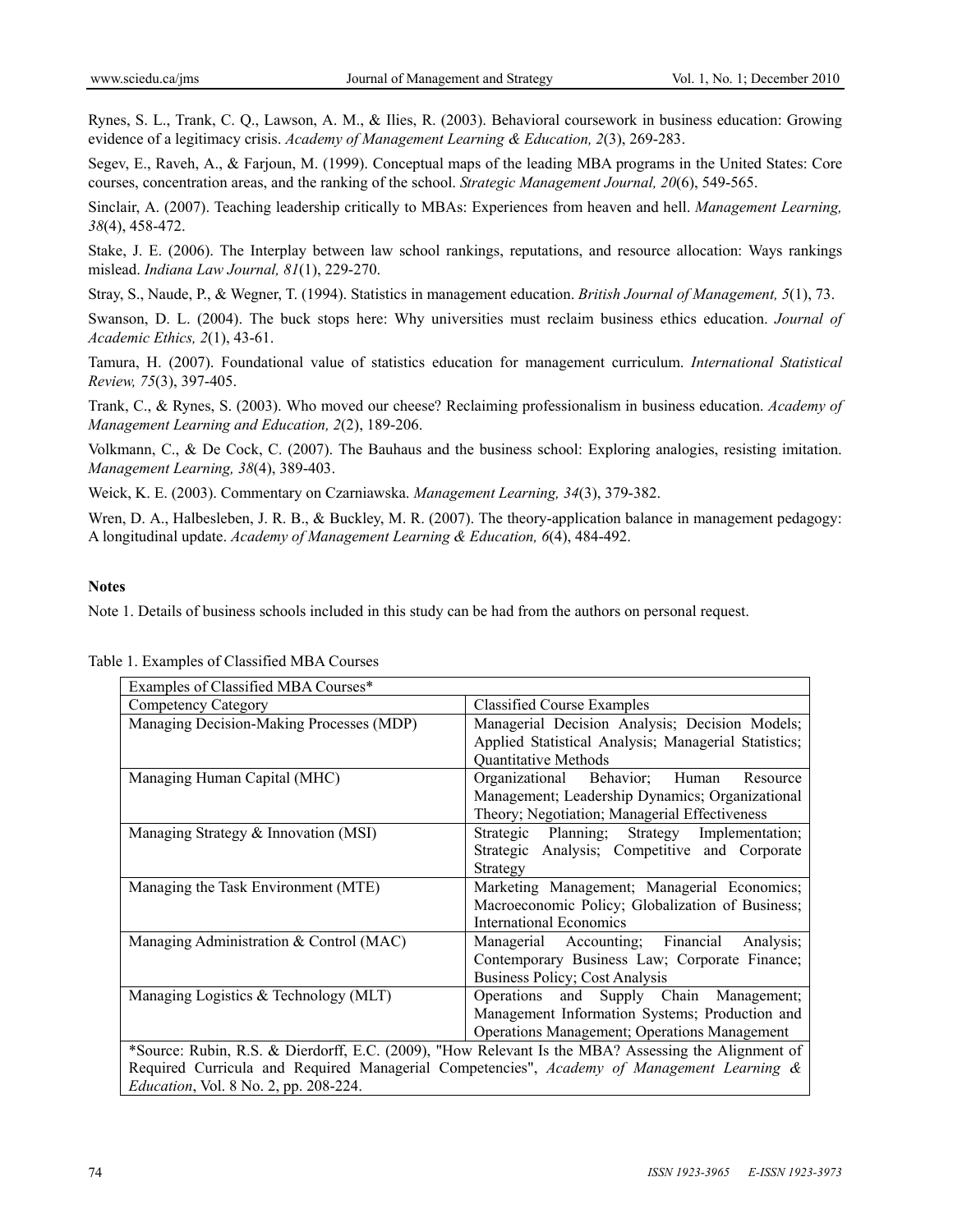Rynes, S. L., Trank, C. Q., Lawson, A. M., & Ilies, R. (2003). Behavioral coursework in business education: Growing evidence of a legitimacy crisis. *Academy of Management Learning & Education, 2*(3), 269-283.

Segev, E., Raveh, A., & Farjoun, M. (1999). Conceptual maps of the leading MBA programs in the United States: Core courses, concentration areas, and the ranking of the school. *Strategic Management Journal, 20*(6), 549-565.

Sinclair, A. (2007). Teaching leadership critically to MBAs: Experiences from heaven and hell. *Management Learning, 38*(4), 458-472.

Stake, J. E. (2006). The Interplay between law school rankings, reputations, and resource allocation: Ways rankings mislead. *Indiana Law Journal, 81*(1), 229-270.

Stray, S., Naude, P., & Wegner, T. (1994). Statistics in management education. *British Journal of Management, 5*(1), 73.

Swanson, D. L. (2004). The buck stops here: Why universities must reclaim business ethics education. *Journal of Academic Ethics, 2*(1), 43-61.

Tamura, H. (2007). Foundational value of statistics education for management curriculum. *International Statistical Review, 75*(3), 397-405.

Trank, C., & Rynes, S. (2003). Who moved our cheese? Reclaiming professionalism in business education. *Academy of Management Learning and Education, 2*(2), 189-206.

Volkmann, C., & De Cock, C. (2007). The Bauhaus and the business school: Exploring analogies, resisting imitation. *Management Learning, 38*(4), 389-403.

Weick, K. E. (2003). Commentary on Czarniawska. *Management Learning, 34*(3), 379-382.

Wren, D. A., Halbesleben, J. R. B., & Buckley, M. R. (2007). The theory-application balance in management pedagogy: A longitudinal update. *Academy of Management Learning & Education, 6*(4), 484-492.

#### **Notes**

Note 1. Details of business schools included in this study can be had from the authors on personal request.

| Examples of Classified MBA Courses*          |                                                                                                     |  |  |  |  |
|----------------------------------------------|-----------------------------------------------------------------------------------------------------|--|--|--|--|
| Competency Category                          | <b>Classified Course Examples</b>                                                                   |  |  |  |  |
| Managing Decision-Making Processes (MDP)     | Managerial Decision Analysis; Decision Models;                                                      |  |  |  |  |
|                                              | Applied Statistical Analysis; Managerial Statistics;                                                |  |  |  |  |
|                                              | Quantitative Methods                                                                                |  |  |  |  |
| Managing Human Capital (MHC)                 | Organizational Behavior;<br>Human<br>Resource                                                       |  |  |  |  |
|                                              | Management; Leadership Dynamics; Organizational                                                     |  |  |  |  |
|                                              | Theory; Negotiation; Managerial Effectiveness                                                       |  |  |  |  |
| Managing Strategy & Innovation (MSI)         | Strategic Planning; Strategy Implementation;                                                        |  |  |  |  |
|                                              | Strategic Analysis; Competitive and Corporate                                                       |  |  |  |  |
|                                              | Strategy                                                                                            |  |  |  |  |
| Managing the Task Environment (MTE)          | Marketing Management; Managerial Economics;                                                         |  |  |  |  |
|                                              | Macroeconomic Policy; Globalization of Business;                                                    |  |  |  |  |
|                                              | International Economics                                                                             |  |  |  |  |
| Managing Administration & Control (MAC)      | Managerial Accounting; Financial<br>Analysis;                                                       |  |  |  |  |
|                                              | Contemporary Business Law; Corporate Finance;                                                       |  |  |  |  |
|                                              | Business Policy; Cost Analysis                                                                      |  |  |  |  |
| Managing Logistics $&$ Technology (MLT)      | Operations and Supply Chain Management;                                                             |  |  |  |  |
|                                              | Management Information Systems; Production and                                                      |  |  |  |  |
|                                              | <b>Operations Management</b> ; Operations Management                                                |  |  |  |  |
|                                              | *Source: Rubin, R.S. & Dierdorff, E.C. (2009), "How Relevant Is the MBA? Assessing the Alignment of |  |  |  |  |
|                                              | Required Curricula and Required Managerial Competencies", Academy of Management Learning &          |  |  |  |  |
| <i>Education, Vol. 8 No. 2, pp. 208-224.</i> |                                                                                                     |  |  |  |  |

Table 1. Examples of Classified MBA Courses